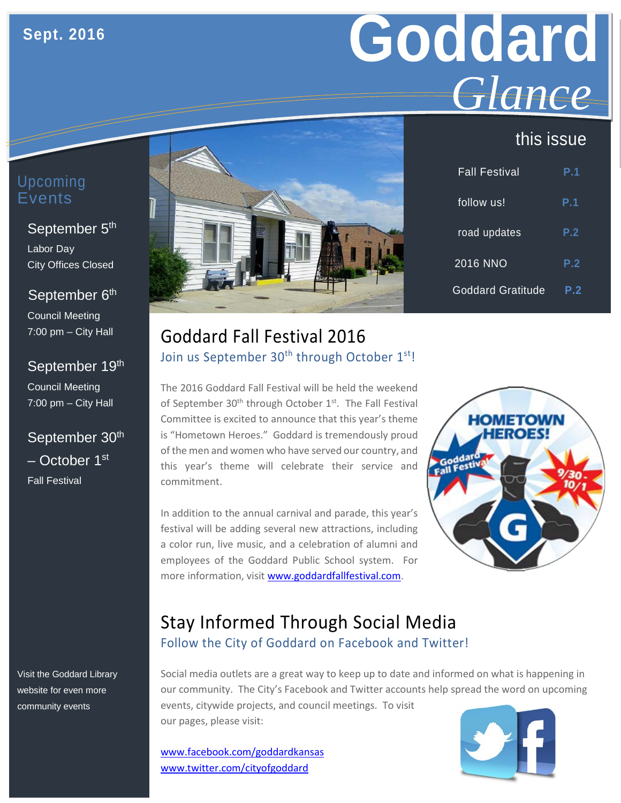# **Goddard** *Glance*

## this issue

| Upcoming |
|----------|
| Events   |

#### September 5<sup>th</sup>

Labor Day City Offices Closed

#### September 6<sup>th</sup>

Council Meeting 7:00 pm – City Hall

#### September 19th

Council Meeting 7:00 pm – City Hall

## September 30<sup>th</sup> – October 1st Fall Festival

Visit the Goddard Library website for even more community events



| <b>Fall Festival</b>     | P.1 |
|--------------------------|-----|
| follow us!               | P.1 |
| road updates             | P.2 |
| 2016 NNO                 | P.2 |
| <b>Goddard Gratitude</b> | P.2 |

## Goddard Fall Festival 2016 Join us September 30<sup>th</sup> through October 1<sup>st</sup>!

The 2016 Goddard Fall Festival will be held the weekend of September 30<sup>th</sup> through October 1<sup>st</sup>. The Fall Festival Committee is excited to announce that this year's theme is "Hometown Heroes." Goddard is tremendously proud of the men and women who have served our country, and this year's theme will celebrate their service and commitment.

In addition to the annual carnival and parade, this year's festival will be adding several new attractions, including a color run, live music, and a celebration of alumni and employees of the Goddard Public School system. For more information, visi[t www.goddardfallfestival.com.](http://www.goddardfallfestival.com/)



## Stay Informed Through Social Media Follow the City of Goddard on Facebook and Twitter!

Social media outlets are a great way to keep up to date and informed on what is happening in our community. The City's Facebook and Twitter accounts help spread the word on upcoming events, citywide projects, and council meetings. To visit our pages, please visit:

[www.facebook.com/goddardkansas](http://www.facebook.com/goddardkansas) [www.twitter.com/cityofgoddard](http://www.twitter.com/cityofgoddard)